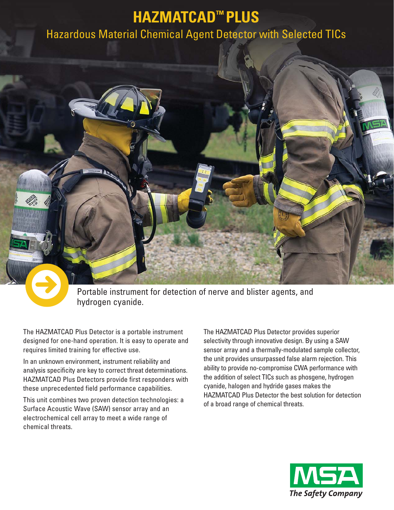# **HAZMATCAD™ PLUS**

## Hazardous Material Chemical Agent Detector with Selected TICs



Portable instrument for detection of nerve and blister agents, and hydrogen cyanide.

The HAZMATCAD Plus Detector is a portable instrument designed for one-hand operation. It is easy to operate and requires limited training for effective use.

In an unknown environment, instrument reliability and analysis specificity are key to correct threat determinations. HAZMATCAD Plus Detectors provide first responders with these unprecedented field performance capabilities.

This unit combines two proven detection technologies: a Surface Acoustic Wave (SAW) sensor array and an electrochemical cell array to meet a wide range of chemical threats.

The HAZMATCAD Plus Detector provides superior selectivity through innovative design. By using a SAW sensor array and a thermally-modulated sample collector, the unit provides unsurpassed false alarm rejection. This ability to provide no-compromise CWA performance with the addition of select TICs such as phosgene, hydrogen cyanide, halogen and hydride gases makes the HAZMATCAD Plus Detector the best solution for detection of a broad range of chemical threats.